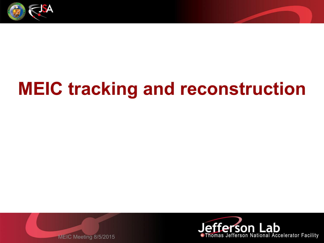

# **MEIC tracking and reconstruction**



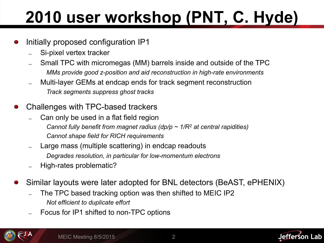# **2010 user workshop (PNT, C. Hyde)**

- Initially proposed configuration IP1
	- Si-pixel vertex tracker
	- ̶ Small TPC with micromegas (MM) barrels inside and outside of the TPC *MMs provide good z-position and aid reconstruction in high-rate environments*
	- ̶ Multi-layer GEMs at endcap ends for track segment reconstruction *Track segments suppress ghost tracks*
- Challenges with TPC-based trackers
	- ̶ Can only be used in a flat field region
		- *Cannot fully benefit from magnet radius (dp/p ~ 1/R2 at central rapidities) Cannot shape field for RICH requirements*
	- ̶ Large mass (multiple scattering) in endcap readouts *Degrades resolution, in particular for low-momentum electrons*
	- ̶ High-rates problematic?
- Similar layouts were later adopted for BNL detectors (BeAST, ePHENIX)
	- ̶ The TPC based tracking option was then shifted to MEIC IP2 *Not efficient to duplicate effort*
	- ̶ Focus for IP1 shifted to non-TPC options



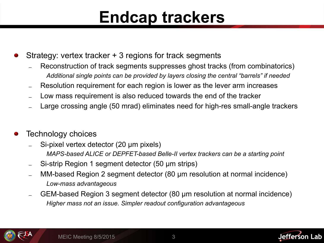#### **Endcap trackers**

- Strategy: vertex tracker + 3 regions for track segments
	- Reconstruction of track segments suppresses ghost tracks (from combinatorics) *Additional single points can be provided by layers closing the central "barrels" if needed*
	- Resolution requirement for each region is lower as the lever arm increases
	- ̶ Low mass requirement is also reduced towards the end of the tracker
	- ̶ Large crossing angle (50 mrad) eliminates need for high-res small-angle trackers
- Technology choices
	- Si-pixel vertex detector (20 µm pixels) *MAPS-based ALICE or DEPFET-based Belle-II vertex trackers can be a starting point*
	- Si-strip Region 1 segment detector (50 µm strips)
	- ̶ MM-based Region 2 segment detector (80 µm resolution at normal incidence) *Low-mass advantageous*
	- ̶ GEM-based Region 3 segment detector (80 µm resolution at normal incidence) *Higher mass not an issue. Simpler readout configuration advantageous*



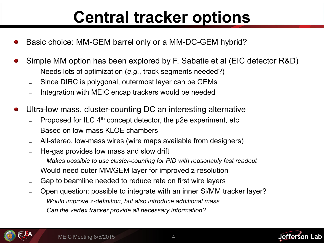### **Central tracker options**

- Basic choice: MM-GEM barrel only or a MM-DC-GEM hybrid?
- Simple MM option has been explored by F. Sabatie et al (EIC detector R&D)
	- ̶ Needs lots of optimization (*e.g.*, track segments needed?)
	- ̶ Since DIRC is polygonal, outermost layer can be GEMs
	- ̶ Integration with MEIC encap trackers would be needed
- Ultra-low mass, cluster-counting DC an interesting alternative
	- Proposed for ILC 4<sup>th</sup> concept detector, the µ2e experiment, etc
	- Based on low-mass KLOE chambers
	- ̶ All-stereo, low-mass wires (wire maps available from designers)
	- ̶ He-gas provides low mass and slow drift *Makes possible to use cluster-counting for PID with reasonably fast readout*
	- ̶ Would need outer MM/GEM layer for improved z-resolution
	- ̶ Gap to beamline needed to reduce rate on first wire layers
	- ̶ Open question: possible to integrate with an inner Si/MM tracker layer? *Would improve z-definition, but also introduce additional mass Can the vertex tracker provide all necessary information?*